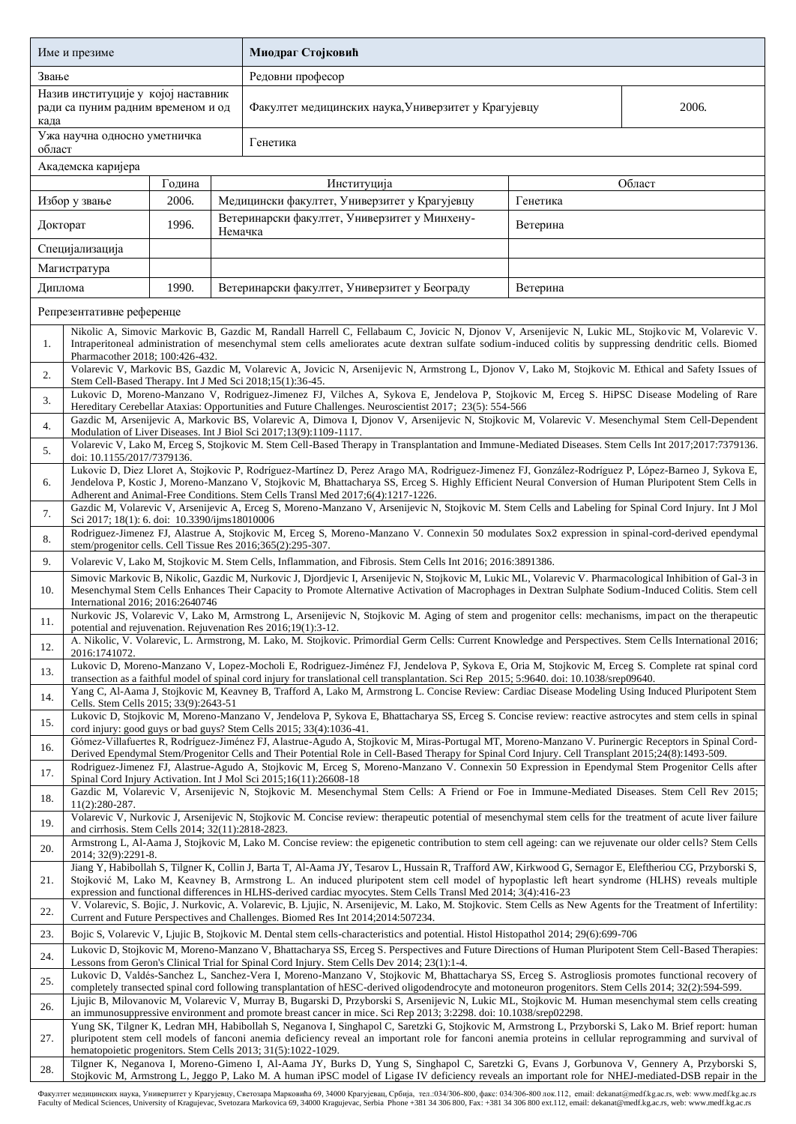| Име и презиме                                                                     |                                                                                                                                                                                                                                                                                                                                                                                                                                |        |         | Миодраг Стојковић                                                                                                                                                                                                                                                                                |          |  |  |  |  |
|-----------------------------------------------------------------------------------|--------------------------------------------------------------------------------------------------------------------------------------------------------------------------------------------------------------------------------------------------------------------------------------------------------------------------------------------------------------------------------------------------------------------------------|--------|---------|--------------------------------------------------------------------------------------------------------------------------------------------------------------------------------------------------------------------------------------------------------------------------------------------------|----------|--|--|--|--|
| Звање                                                                             |                                                                                                                                                                                                                                                                                                                                                                                                                                |        |         | Редовни професор                                                                                                                                                                                                                                                                                 |          |  |  |  |  |
| Назив институције у којој наставник<br>ради са пуним радним временом и од<br>када |                                                                                                                                                                                                                                                                                                                                                                                                                                |        |         | Факултет медицинских наука, Универзитет у Крагујевцу<br>2006.                                                                                                                                                                                                                                    |          |  |  |  |  |
| област                                                                            | Ужа научна односно уметничка                                                                                                                                                                                                                                                                                                                                                                                                   |        |         | Генетика                                                                                                                                                                                                                                                                                         |          |  |  |  |  |
|                                                                                   | Академска каријера                                                                                                                                                                                                                                                                                                                                                                                                             |        |         |                                                                                                                                                                                                                                                                                                  |          |  |  |  |  |
|                                                                                   |                                                                                                                                                                                                                                                                                                                                                                                                                                | Година |         | Институција                                                                                                                                                                                                                                                                                      | Област   |  |  |  |  |
|                                                                                   | Избор у звање                                                                                                                                                                                                                                                                                                                                                                                                                  | 2006.  |         | Медицински факултет, Универзитет у Крагујевцу                                                                                                                                                                                                                                                    | Генетика |  |  |  |  |
| Докторат                                                                          |                                                                                                                                                                                                                                                                                                                                                                                                                                | 1996.  | Немачка | Ветеринарски факултет, Универзитет у Минхену-                                                                                                                                                                                                                                                    | Ветерина |  |  |  |  |
|                                                                                   | Специјализација                                                                                                                                                                                                                                                                                                                                                                                                                |        |         |                                                                                                                                                                                                                                                                                                  |          |  |  |  |  |
|                                                                                   | Магистратура                                                                                                                                                                                                                                                                                                                                                                                                                   |        |         |                                                                                                                                                                                                                                                                                                  |          |  |  |  |  |
| Диплома                                                                           |                                                                                                                                                                                                                                                                                                                                                                                                                                | 1990.  |         | Ветеринарски факултет, Универзитет у Београду                                                                                                                                                                                                                                                    | Ветерина |  |  |  |  |
|                                                                                   | Репрезентативне референце                                                                                                                                                                                                                                                                                                                                                                                                      |        |         |                                                                                                                                                                                                                                                                                                  |          |  |  |  |  |
| 1.                                                                                | Nikolic A, Simovic Markovic B, Gazdic M, Randall Harrell C, Fellabaum C, Jovicic N, Djonov V, Arsenijevic N, Lukic ML, Stojkovic M, Volarevic V.<br>Intraperitoneal administration of mesenchymal stem cells ameliorates acute dextran sulfate sodium-induced colitis by suppressing dendritic cells. Biomed<br>Pharmacother 2018; 100:426-432.                                                                                |        |         |                                                                                                                                                                                                                                                                                                  |          |  |  |  |  |
| 2.                                                                                | Volarevic V, Markovic BS, Gazdic M, Volarevic A, Jovicic N, Arsenijevic N, Armstrong L, Djonov V, Lako M, Stojkovic M. Ethical and Safety Issues of<br>Stem Cell-Based Therapy. Int J Med Sci 2018;15(1):36-45.                                                                                                                                                                                                                |        |         |                                                                                                                                                                                                                                                                                                  |          |  |  |  |  |
| 3.                                                                                |                                                                                                                                                                                                                                                                                                                                                                                                                                |        |         | Lukovic D, Moreno-Manzano V, Rodriguez-Jimenez FJ, Vilches A, Sykova E, Jendelova P, Stojkovic M, Erceg S. HiPSC Disease Modeling of Rare<br>Hereditary Cerebellar Ataxias: Opportunities and Future Challenges. Neuroscientist 2017; 23(5): 554-566                                             |          |  |  |  |  |
| 4.                                                                                |                                                                                                                                                                                                                                                                                                                                                                                                                                |        |         | Gazdic M, Arsenijevic A, Markovic BS, Volarevic A, Dimova I, Djonov V, Arsenijevic N, Stojkovic M, Volarevic V. Mesenchymal Stem Cell-Dependent<br>Modulation of Liver Diseases. Int J Biol Sci 2017;13(9):1109-1117.                                                                            |          |  |  |  |  |
| 5.                                                                                | doi: 10.1155/2017/7379136.                                                                                                                                                                                                                                                                                                                                                                                                     |        |         | Volarevic V, Lako M, Erceg S, Stojkovic M. Stem Cell-Based Therapy in Transplantation and Immune-Mediated Diseases. Stem Cells Int 2017;2017:7379136.                                                                                                                                            |          |  |  |  |  |
| 6.                                                                                | Lukovic D, Diez Lloret A, Stojkovic P, Rodríguez-Martínez D, Perez Arago MA, Rodriguez-Jimenez FJ, González-Rodríguez P, López-Barneo J, Sykova E,<br>Jendelova P, Kostic J, Moreno-Manzano V, Stojkovic M, Bhattacharya SS, Erceg S. Highly Efficient Neural Conversion of Human Pluripotent Stem Cells in<br>Adherent and Animal-Free Conditions. Stem Cells Transl Med 2017;6(4):1217-1226.                                 |        |         |                                                                                                                                                                                                                                                                                                  |          |  |  |  |  |
| 7.                                                                                | Gazdic M, Volarevic V, Arsenijevic A, Erceg S, Moreno-Manzano V, Arsenijevic N, Stojkovic M. Stem Cells and Labeling for Spinal Cord Injury. Int J Mol<br>Sci 2017; 18(1): 6. doi: 10.3390/ijms18010006                                                                                                                                                                                                                        |        |         |                                                                                                                                                                                                                                                                                                  |          |  |  |  |  |
| 8.                                                                                | Rodriguez-Jimenez FJ, Alastrue A, Stojkovic M, Erceg S, Moreno-Manzano V. Connexin 50 modulates Sox2 expression in spinal-cord-derived ependymal<br>stem/progenitor cells. Cell Tissue Res 2016;365(2):295-307.                                                                                                                                                                                                                |        |         |                                                                                                                                                                                                                                                                                                  |          |  |  |  |  |
| 9.                                                                                |                                                                                                                                                                                                                                                                                                                                                                                                                                |        |         | Volarevic V, Lako M, Stojkovic M. Stem Cells, Inflammation, and Fibrosis. Stem Cells Int 2016; 2016:3891386.                                                                                                                                                                                     |          |  |  |  |  |
| 10.                                                                               | Simovic Markovic B, Nikolic, Gazdic M, Nurkovic J, Djordjevic I, Arsenijevic N, Stojkovic M, Lukic ML, Volarevic V. Pharmacological Inhibition of Gal-3 in<br>Mesenchymal Stem Cells Enhances Their Capacity to Promote Alternative Activation of Macrophages in Dextran Sulphate Sodium-Induced Colitis. Stem cell<br>International 2016; 2016:2640746                                                                        |        |         |                                                                                                                                                                                                                                                                                                  |          |  |  |  |  |
| 11.                                                                               | Nurkovic JS, Volarevic V, Lako M, Armstrong L, Arsenijevic N, Stojkovic M. Aging of stem and progenitor cells: mechanisms, impact on the therapeutic<br>potential and rejuvenation. Rejuvenation Res 2016;19(1):3-12.                                                                                                                                                                                                          |        |         |                                                                                                                                                                                                                                                                                                  |          |  |  |  |  |
| 12.                                                                               | 2016:1741072.                                                                                                                                                                                                                                                                                                                                                                                                                  |        |         | A. Nikolic, V. Volarevic, L. Armstrong, M. Lako, M. Stojkovic. Primordial Germ Cells: Current Knowledge and Perspectives. Stem Cells International 2016;                                                                                                                                         |          |  |  |  |  |
| 13.                                                                               |                                                                                                                                                                                                                                                                                                                                                                                                                                |        |         | Lukovic D, Moreno-Manzano V, Lopez-Mocholi E, Rodriguez-Jiménez FJ, Jendelova P, Sykova E, Oria M, Stojkovic M, Erceg S. Complete rat spinal cord<br>transection as a faithful model of spinal cord injury for translational cell transplantation. Sci Rep 2015; 5:9640. doi: 10.1038/srep09640. |          |  |  |  |  |
| 14.                                                                               | Cells. Stem Cells 2015; 33(9):2643-51                                                                                                                                                                                                                                                                                                                                                                                          |        |         | Yang C, Al-Aama J, Stojkovic M, Keavney B, Trafford A, Lako M, Armstrong L. Concise Review: Cardiac Disease Modeling Using Induced Pluripotent Stem                                                                                                                                              |          |  |  |  |  |
| 15.                                                                               | Lukovic D, Stojkovic M, Moreno-Manzano V, Jendelova P, Sykova E, Bhattacharya SS, Erceg S. Concise review: reactive astrocytes and stem cells in spinal<br>cord injury: good guys or bad guys? Stem Cells 2015; 33(4):1036-41.                                                                                                                                                                                                 |        |         |                                                                                                                                                                                                                                                                                                  |          |  |  |  |  |
| 16.                                                                               | Gómez-Villafuertes R, Rodríguez-Jiménez FJ, Alastrue-Agudo A, Stojkovic M, Miras-Portugal MT, Moreno-Manzano V. Purinergic Receptors in Spinal Cord-<br>Derived Ependymal Stem/Progenitor Cells and Their Potential Role in Cell-Based Therapy for Spinal Cord Injury. Cell Transplant 2015;24(8):1493-509.                                                                                                                    |        |         |                                                                                                                                                                                                                                                                                                  |          |  |  |  |  |
| 17.                                                                               |                                                                                                                                                                                                                                                                                                                                                                                                                                |        |         | Rodriguez-Jimenez FJ, Alastrue-Agudo A, Stojkovic M, Erceg S, Moreno-Manzano V. Connexin 50 Expression in Ependymal Stem Progenitor Cells after<br>Spinal Cord Injury Activation. Int J Mol Sci 2015;16(11):26608-18                                                                             |          |  |  |  |  |
| 18.                                                                               | Gazdic M, Volarevic V, Arsenijevic N, Stojkovic M. Mesenchymal Stem Cells: A Friend or Foe in Immune-Mediated Diseases. Stem Cell Rev 2015;<br>$11(2):280-287.$                                                                                                                                                                                                                                                                |        |         |                                                                                                                                                                                                                                                                                                  |          |  |  |  |  |
| 19.                                                                               | and cirrhosis. Stem Cells 2014; 32(11):2818-2823.                                                                                                                                                                                                                                                                                                                                                                              |        |         | Volarevic V, Nurkovic J, Arsenijevic N, Stojkovic M. Concise review: therapeutic potential of mesenchymal stem cells for the treatment of acute liver failure                                                                                                                                    |          |  |  |  |  |
| 20.                                                                               | Armstrong L, Al-Aama J, Stojkovic M, Lako M. Concise review: the epigenetic contribution to stem cell ageing: can we rejuvenate our older cells? Stem Cells<br>2014; 32(9):2291-8.                                                                                                                                                                                                                                             |        |         |                                                                                                                                                                                                                                                                                                  |          |  |  |  |  |
| 21.                                                                               | Jiang Y, Habibollah S, Tilgner K, Collin J, Barta T, Al-Aama JY, Tesarov L, Hussain R, Trafford AW, Kirkwood G, Sernagor E, Eleftheriou CG, Przyborski S,<br>Stojković M, Lako M, Keavney B, Armstrong L. An induced pluripotent stem cell model of hypoplastic left heart syndrome (HLHS) reveals multiple<br>expression and functional differences in HLHS-derived cardiac myocytes. Stem Cells Transl Med 2014; 3(4):416-23 |        |         |                                                                                                                                                                                                                                                                                                  |          |  |  |  |  |
| 22.                                                                               |                                                                                                                                                                                                                                                                                                                                                                                                                                |        |         | V. Volarevic, S. Bojic, J. Nurkovic, A. Volarevic, B. Ljujic, N. Arsenijevic, M. Lako, M. Stojkovic. Stem Cells as New Agents for the Treatment of Infertility:<br>Current and Future Perspectives and Challenges. Biomed Res Int 2014;2014:507234.                                              |          |  |  |  |  |
| 23.                                                                               | Bojic S, Volarevic V, Ljujic B, Stojkovic M. Dental stem cells-characteristics and potential. Histol Histopathol 2014; 29(6):699-706                                                                                                                                                                                                                                                                                           |        |         |                                                                                                                                                                                                                                                                                                  |          |  |  |  |  |
| 24.                                                                               | Lukovic D, Stojkovic M, Moreno-Manzano V, Bhattacharya SS, Erceg S. Perspectives and Future Directions of Human Pluripotent Stem Cell-Based Therapies:<br>Lessons from Geron's Clinical Trial for Spinal Cord Injury. Stem Cells Dev 2014; 23(1):1-4.                                                                                                                                                                          |        |         |                                                                                                                                                                                                                                                                                                  |          |  |  |  |  |
| 25.                                                                               | Lukovic D, Valdés-Sanchez L, Sanchez-Vera I, Moreno-Manzano V, Stojkovic M, Bhattacharya SS, Erceg S. Astrogliosis promotes functional recovery of<br>completely transected spinal cord following transplantation of hESC-derived oligodendrocyte and motoneuron progenitors. Stem Cells 2014; 32(2):594-599.                                                                                                                  |        |         |                                                                                                                                                                                                                                                                                                  |          |  |  |  |  |
| 26.                                                                               | Ljujic B, Milovanovic M, Volarevic V, Murray B, Bugarski D, Przyborski S, Arsenijevic N, Lukic ML, Stojkovic M. Human mesenchymal stem cells creating<br>an immunosuppressive environment and promote breast cancer in mice. Sci Rep 2013; 3:2298. doi: 10.1038/srep02298.                                                                                                                                                     |        |         |                                                                                                                                                                                                                                                                                                  |          |  |  |  |  |
| 27.                                                                               | Yung SK, Tilgner K, Ledran MH, Habibollah S, Neganova I, Singhapol C, Saretzki G, Stojkovic M, Armstrong L, Przyborski S, Lako M. Brief report: human<br>pluripotent stem cell models of fanconi anemia deficiency reveal an important role for fanconi anemia proteins in cellular reprogramming and survival of<br>hematopoietic progenitors. Stem Cells 2013; 31(5):1022-1029.                                              |        |         |                                                                                                                                                                                                                                                                                                  |          |  |  |  |  |
| 28.                                                                               | Tilgner K, Neganova I, Moreno-Gimeno I, Al-Aama JY, Burks D, Yung S, Singhapol C, Saretzki G, Evans J, Gorbunova V, Gennery A, Przyborski S,<br>Stojkovic M, Armstrong L, Jeggo P, Lako M. A human iPSC model of Ligase IV deficiency reveals an important role for NHEJ-mediated-DSB repair in the                                                                                                                            |        |         |                                                                                                                                                                                                                                                                                                  |          |  |  |  |  |

Факултет медицинских наука, Универзитет у Крагујевцу, Светозара Марковића б9, 34000 Крагујевац, Србија, тел:034/306-800, факс: 034/306-800 лок.112, email: dekanat@medf.kg.ac.rs, web: www.medf.kg.ac.rs<br>Faculty of Medical S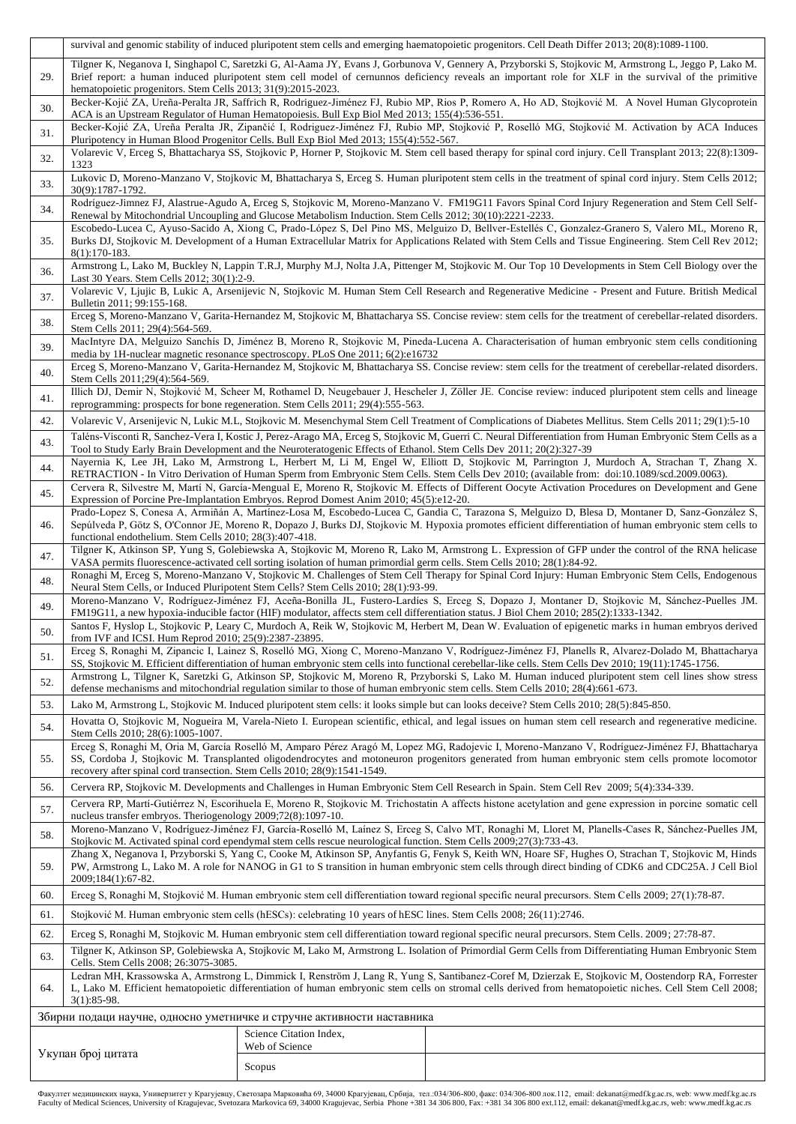|                                                                         | survival and genomic stability of induced pluripotent stem cells and emerging haematopoietic progenitors. Cell Death Differ 2013; 20(8):1089-1100.                                                                                                                                                                                                                               |                                                                                                                    |                                                                                                                                                                                                                                                                                                             |  |  |  |  |  |  |  |
|-------------------------------------------------------------------------|----------------------------------------------------------------------------------------------------------------------------------------------------------------------------------------------------------------------------------------------------------------------------------------------------------------------------------------------------------------------------------|--------------------------------------------------------------------------------------------------------------------|-------------------------------------------------------------------------------------------------------------------------------------------------------------------------------------------------------------------------------------------------------------------------------------------------------------|--|--|--|--|--|--|--|
|                                                                         | Tilgner K, Neganova I, Singhapol C, Saretzki G, Al-Aama JY, Evans J, Gorbunova V, Gennery A, Przyborski S, Stojkovic M, Armstrong L, Jeggo P, Lako M.                                                                                                                                                                                                                            |                                                                                                                    |                                                                                                                                                                                                                                                                                                             |  |  |  |  |  |  |  |
| 29.                                                                     | Brief report: a human induced pluripotent stem cell model of cernunnos deficiency reveals an important role for XLF in the survival of the primitive                                                                                                                                                                                                                             |                                                                                                                    |                                                                                                                                                                                                                                                                                                             |  |  |  |  |  |  |  |
|                                                                         | hematopoietic progenitors. Stem Cells 2013; 31(9):2015-2023.                                                                                                                                                                                                                                                                                                                     |                                                                                                                    |                                                                                                                                                                                                                                                                                                             |  |  |  |  |  |  |  |
| 30.                                                                     | Becker-Kojić ZA, Ureña-Peralta JR, Saffrich R, Rodriguez-Jiménez FJ, Rubio MP, Rios P, Romero A, Ho AD, Stojković M. A Novel Human Glycoprotein<br>ACA is an Upstream Regulator of Human Hematopoiesis. Bull Exp Biol Med 2013; 155(4):536-551.                                                                                                                                  |                                                                                                                    |                                                                                                                                                                                                                                                                                                             |  |  |  |  |  |  |  |
| 31.                                                                     | Becker-Kojić ZA, Ureña Peralta JR, Zipančić I, Rodriguez-Jiménez FJ, Rubio MP, Stojković P, Roselló MG, Stojković M. Activation by ACA Induces<br>Pluripotency in Human Blood Progenitor Cells. Bull Exp Biol Med 2013; 155(4):552-567.                                                                                                                                          |                                                                                                                    |                                                                                                                                                                                                                                                                                                             |  |  |  |  |  |  |  |
| 32.                                                                     | Volarevic V, Erceg S, Bhattacharya SS, Stojkovic P, Horner P, Stojkovic M. Stem cell based therapy for spinal cord injury. Cell Transplant 2013; 22(8):1309-<br>1323                                                                                                                                                                                                             |                                                                                                                    |                                                                                                                                                                                                                                                                                                             |  |  |  |  |  |  |  |
| 33.                                                                     | Lukovic D, Moreno-Manzano V, Stojkovic M, Bhattacharya S, Erceg S. Human pluripotent stem cells in the treatment of spinal cord injury. Stem Cells 2012;<br>30(9):1787-1792.                                                                                                                                                                                                     |                                                                                                                    |                                                                                                                                                                                                                                                                                                             |  |  |  |  |  |  |  |
| 34.                                                                     | Rodríguez-Jimnez FJ, Alastrue-Agudo A, Erceg S, Stojkovic M, Moreno-Manzano V. FM19G11 Favors Spinal Cord Injury Regeneration and Stem Cell Self-<br>Renewal by Mitochondrial Uncoupling and Glucose Metabolism Induction. Stem Cells 2012; 30(10):2221-2233.                                                                                                                    |                                                                                                                    |                                                                                                                                                                                                                                                                                                             |  |  |  |  |  |  |  |
| 35.                                                                     | Escobedo-Lucea C, Ayuso-Sacido A, Xiong C, Prado-López S, Del Pino MS, Melguizo D, Bellver-Estellés C, Gonzalez-Granero S, Valero ML, Moreno R,<br>Burks DJ, Stojkovic M. Development of a Human Extracellular Matrix for Applications Related with Stem Cells and Tissue Engineering. Stem Cell Rev 2012;<br>$8(1):170-183.$                                                    |                                                                                                                    |                                                                                                                                                                                                                                                                                                             |  |  |  |  |  |  |  |
| 36.                                                                     | Armstrong L, Lako M, Buckley N, Lappin T.R.J, Murphy M.J, Nolta J.A, Pittenger M, Stojkovic M. Our Top 10 Developments in Stem Cell Biology over the<br>Last 30 Years. Stem Cells 2012; 30(1):2-9.                                                                                                                                                                               |                                                                                                                    |                                                                                                                                                                                                                                                                                                             |  |  |  |  |  |  |  |
| 37.                                                                     | Volarevic V, Ljujic B, Lukic A, Arsenijevic N, Stojkovic M. Human Stem Cell Research and Regenerative Medicine - Present and Future. British Medical<br>Bulletin 2011; 99:155-168.                                                                                                                                                                                               |                                                                                                                    |                                                                                                                                                                                                                                                                                                             |  |  |  |  |  |  |  |
| 38.                                                                     | Erceg S, Moreno-Manzano V, Garita-Hernandez M, Stojkovic M, Bhattacharya SS. Concise review: stem cells for the treatment of cerebellar-related disorders.<br>Stem Cells 2011; 29(4):564-569.                                                                                                                                                                                    |                                                                                                                    |                                                                                                                                                                                                                                                                                                             |  |  |  |  |  |  |  |
| 39.                                                                     | MacIntyre DA, Melguizo Sanchís D, Jiménez B, Moreno R, Stojkovic M, Pineda-Lucena A. Characterisation of human embryonic stem cells conditioning<br>media by 1H-nuclear magnetic resonance spectroscopy. PLoS One 2011; 6(2):e16732                                                                                                                                              |                                                                                                                    |                                                                                                                                                                                                                                                                                                             |  |  |  |  |  |  |  |
| 40.                                                                     | Stem Cells 2011;29(4):564-569.                                                                                                                                                                                                                                                                                                                                                   |                                                                                                                    | Erceg S, Moreno-Manzano V, Garita-Hernandez M, Stojkovic M, Bhattacharya SS. Concise review: stem cells for the treatment of cerebellar-related disorders.                                                                                                                                                  |  |  |  |  |  |  |  |
| 41.                                                                     | Illich DJ, Demir N, Stojković M, Scheer M, Rothamel D, Neugebauer J, Hescheler J, Zöller JE. Concise review: induced pluripotent stem cells and lineage<br>reprogramming: prospects for bone regeneration. Stem Cells 2011; 29(4):555-563.                                                                                                                                       |                                                                                                                    |                                                                                                                                                                                                                                                                                                             |  |  |  |  |  |  |  |
| 42.                                                                     |                                                                                                                                                                                                                                                                                                                                                                                  |                                                                                                                    | Volarevic V, Arsenijevic N, Lukic M.L, Stojkovic M. Mesenchymal Stem Cell Treatment of Complications of Diabetes Mellitus. Stem Cells 2011; 29(1):5-10                                                                                                                                                      |  |  |  |  |  |  |  |
| 43.                                                                     | Taléns-Visconti R, Sanchez-Vera I, Kostic J, Perez-Arago MA, Erceg S, Stojkovic M, Guerri C. Neural Differentiation from Human Embryonic Stem Cells as a<br>Tool to Study Early Brain Development and the Neuroteratogenic Effects of Ethanol. Stem Cells Dev 2011; 20(2):327-39                                                                                                 |                                                                                                                    |                                                                                                                                                                                                                                                                                                             |  |  |  |  |  |  |  |
| 44.                                                                     |                                                                                                                                                                                                                                                                                                                                                                                  |                                                                                                                    | Nayernia K, Lee JH, Lako M, Armstrong L, Herbert M, Li M, Engel W, Elliott D, Stojkovic M, Parrington J, Murdoch A, Strachan T, Zhang X.<br>RETRACTION - In Vitro Derivation of Human Sperm from Embryonic Stem Cells. Stem Cells Dev 2010; (available from: doi:10.1089/scd.2009.0063).                    |  |  |  |  |  |  |  |
| 45.                                                                     | Cervera R, Silvestre M, Martí N, García-Mengual E, Moreno R, Stojkovic M. Effects of Different Oocyte Activation Procedures on Development and Gene<br>Expression of Porcine Pre-Implantation Embryos. Reprod Domest Anim 2010; 45(5):e12-20.                                                                                                                                    |                                                                                                                    |                                                                                                                                                                                                                                                                                                             |  |  |  |  |  |  |  |
| 46.                                                                     | Prado-Lopez S, Conesa A, Armiñán A, Martínez-Losa M, Escobedo-Lucea C, Gandia C, Tarazona S, Melguizo D, Blesa D, Montaner D, Sanz-González S,<br>Sepúlveda P, Götz S, O'Connor JE, Moreno R, Dopazo J, Burks DJ, Stojkovic M. Hypoxia promotes efficient differentiation of human embryonic stem cells to<br>functional endothelium. Stem Cells 2010; 28(3):407-418.            |                                                                                                                    |                                                                                                                                                                                                                                                                                                             |  |  |  |  |  |  |  |
| 47.                                                                     |                                                                                                                                                                                                                                                                                                                                                                                  |                                                                                                                    | Tilgner K, Atkinson SP, Yung S, Golebiewska A, Stojkovic M, Moreno R, Lako M, Armstrong L. Expression of GFP under the control of the RNA helicase                                                                                                                                                          |  |  |  |  |  |  |  |
| 48.                                                                     | VASA permits fluorescence-activated cell sorting isolation of human primordial germ cells. Stem Cells 2010; 28(1):84-92.<br>Ronaghi M, Erceg S, Moreno-Manzano V, Stojkovic M. Challenges of Stem Cell Therapy for Spinal Cord Injury: Human Embryonic Stem Cells, Endogenous<br>Neural Stem Cells, or Induced Pluripotent Stem Cells? Stem Cells 2010; 28(1):93-99.             |                                                                                                                    |                                                                                                                                                                                                                                                                                                             |  |  |  |  |  |  |  |
| 49.                                                                     |                                                                                                                                                                                                                                                                                                                                                                                  |                                                                                                                    | Moreno-Manzano V, Rodríguez-Jiménez FJ, Aceña-Bonilla JL, Fustero-Lardíes S, Erceg S, Dopazo J, Montaner D, Stojkovic M, Sánchez-Puelles JM.<br>FM19G11, a new hypoxia-inducible factor (HIF) modulator, affects stem cell differentiation status. J Biol Chem 2010; 285(2):1333-1342.                      |  |  |  |  |  |  |  |
| 50.                                                                     | from IVF and ICSI. Hum Reprod 2010; 25(9):2387-23895.                                                                                                                                                                                                                                                                                                                            |                                                                                                                    | Santos F, Hyslop L, Stojkovic P, Leary C, Murdoch A, Reik W, Stojkovic M, Herbert M, Dean W. Evaluation of epigenetic marks in human embryos derived                                                                                                                                                        |  |  |  |  |  |  |  |
| 51.                                                                     |                                                                                                                                                                                                                                                                                                                                                                                  |                                                                                                                    | Erceg S, Ronaghi M, Zipancic I, Lainez S, Roselló MG, Xiong C, Moreno-Manzano V, Rodríguez-Jiménez FJ, Planells R, Alvarez-Dolado M, Bhattacharya<br>SS, Stojkovic M. Efficient differentiation of human embryonic stem cells into functional cerebellar-like cells. Stem Cells Dev 2010; 19(11):1745-1756. |  |  |  |  |  |  |  |
| 52.                                                                     | Armstrong L, Tilgner K, Saretzki G, Atkinson SP, Stojkovic M, Moreno R, Przyborski S, Lako M. Human induced pluripotent stem cell lines show stress<br>defense mechanisms and mitochondrial regulation similar to those of human embryonic stem cells. Stem Cells 2010; 28(4):661-673.                                                                                           |                                                                                                                    |                                                                                                                                                                                                                                                                                                             |  |  |  |  |  |  |  |
| 53.                                                                     |                                                                                                                                                                                                                                                                                                                                                                                  |                                                                                                                    | Lako M, Armstrong L, Stojkovic M. Induced pluripotent stem cells: it looks simple but can looks deceive? Stem Cells 2010; 28(5):845-850.                                                                                                                                                                    |  |  |  |  |  |  |  |
| 54.                                                                     | Hovatta O, Stojkovic M, Nogueira M, Varela-Nieto I. European scientific, ethical, and legal issues on human stem cell research and regenerative medicine.<br>Stem Cells 2010; 28(6):1005-1007.                                                                                                                                                                                   |                                                                                                                    |                                                                                                                                                                                                                                                                                                             |  |  |  |  |  |  |  |
| 55.                                                                     | Erceg S, Ronaghi M, Oria M, García Roselló M, Amparo Pérez Aragó M, Lopez MG, Radojevic I, Moreno-Manzano V, Rodríguez-Jiménez FJ, Bhattacharya<br>SS, Cordoba J, Stojkovic M. Transplanted oligodendrocytes and motoneuron progenitors generated from human embryonic stem cells promote locomotor<br>recovery after spinal cord transection. Stem Cells 2010; 28(9):1541-1549. |                                                                                                                    |                                                                                                                                                                                                                                                                                                             |  |  |  |  |  |  |  |
| 56.                                                                     |                                                                                                                                                                                                                                                                                                                                                                                  |                                                                                                                    | Cervera RP, Stojkovic M. Developments and Challenges in Human Embryonic Stem Cell Research in Spain. Stem Cell Rev 2009; 5(4):334-339.                                                                                                                                                                      |  |  |  |  |  |  |  |
| 57.                                                                     | Cervera RP, Martí-Gutiérrez N, Escorihuela E, Moreno R, Stojkovic M. Trichostatin A affects histone acetylation and gene expression in porcine somatic cell<br>nucleus transfer embryos. Theriogenology 2009;72(8):1097-10.                                                                                                                                                      |                                                                                                                    |                                                                                                                                                                                                                                                                                                             |  |  |  |  |  |  |  |
| 58.                                                                     | Moreno-Manzano V, Rodríguez-Jiménez FJ, García-Roselló M, Laínez S, Erceg S, Calvo MT, Ronaghi M, Lloret M, Planells-Cases R, Sánchez-Puelles JM,<br>Stojkovic M. Activated spinal cord ependymal stem cells rescue neurological function. Stem Cells 2009;27(3):733-43.                                                                                                         |                                                                                                                    |                                                                                                                                                                                                                                                                                                             |  |  |  |  |  |  |  |
| 59.                                                                     | Zhang X, Neganova I, Przyborski S, Yang C, Cooke M, Atkinson SP, Anyfantis G, Fenyk S, Keith WN, Hoare SF, Hughes O, Strachan T, Stojkovic M, Hinds<br>PW, Armstrong L, Lako M. A role for NANOG in G1 to S transition in human embryonic stem cells through direct binding of CDK6 and CDC25A. J Cell Biol<br>2009;184(1):67-82.                                                |                                                                                                                    |                                                                                                                                                                                                                                                                                                             |  |  |  |  |  |  |  |
| 60.                                                                     | Erceg S, Ronaghi M, Stojković M. Human embryonic stem cell differentiation toward regional specific neural precursors. Stem Cells 2009; 27(1):78-87.                                                                                                                                                                                                                             |                                                                                                                    |                                                                                                                                                                                                                                                                                                             |  |  |  |  |  |  |  |
| 61.                                                                     |                                                                                                                                                                                                                                                                                                                                                                                  | Stojković M. Human embryonic stem cells (hESCs): celebrating 10 years of hESC lines. Stem Cells 2008; 26(11):2746. |                                                                                                                                                                                                                                                                                                             |  |  |  |  |  |  |  |
| 62.                                                                     |                                                                                                                                                                                                                                                                                                                                                                                  |                                                                                                                    | Erceg S, Ronaghi M, Stojkovic M. Human embryonic stem cell differentiation toward regional specific neural precursors. Stem Cells. 2009; 27:78-87.                                                                                                                                                          |  |  |  |  |  |  |  |
| 63.                                                                     | Tilgner K, Atkinson SP, Golebiewska A, Stojkovic M, Lako M, Armstrong L. Isolation of Primordial Germ Cells from Differentiating Human Embryonic Stem<br>Cells. Stem Cells 2008; 26:3075-3085.                                                                                                                                                                                   |                                                                                                                    |                                                                                                                                                                                                                                                                                                             |  |  |  |  |  |  |  |
| 64.                                                                     | Ledran MH, Krassowska A, Armstrong L, Dimmick I, Renström J, Lang R, Yung S, Santibanez-Coref M, Dzierzak E, Stojkovic M, Oostendorp RA, Forrester<br>L, Lako M. Efficient hematopoietic differentiation of human embryonic stem cells on stromal cells derived from hematopoietic niches. Cell Stem Cell 2008;<br>$3(1):85-98.$                                                 |                                                                                                                    |                                                                                                                                                                                                                                                                                                             |  |  |  |  |  |  |  |
| Збирни подаци научне, односно уметничке и стручне активности наставника |                                                                                                                                                                                                                                                                                                                                                                                  |                                                                                                                    |                                                                                                                                                                                                                                                                                                             |  |  |  |  |  |  |  |
| Science Citation Index,<br>Web of Science                               |                                                                                                                                                                                                                                                                                                                                                                                  |                                                                                                                    |                                                                                                                                                                                                                                                                                                             |  |  |  |  |  |  |  |
| Укупан број цитата                                                      |                                                                                                                                                                                                                                                                                                                                                                                  | Scopus                                                                                                             |                                                                                                                                                                                                                                                                                                             |  |  |  |  |  |  |  |
|                                                                         |                                                                                                                                                                                                                                                                                                                                                                                  |                                                                                                                    |                                                                                                                                                                                                                                                                                                             |  |  |  |  |  |  |  |

Факултет медицинских наука, Универзитет у Крагујевцу, Светозара Марковића б9, 34000 Крагујевац, Србија, тел:034/306-800, факс: 034/306-800 лок.112, email: dekanat@medf.kg.ac.rs, web: www.medf.kg.ac.rs<br>Faculty of Medical S